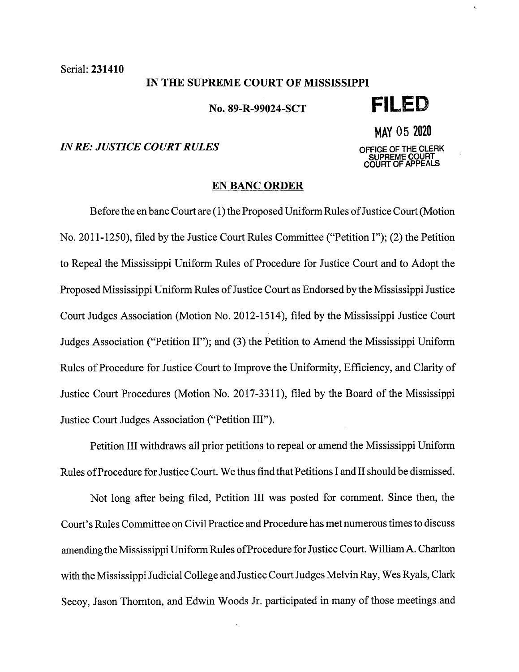Serial: 231410

#### IN THE SUPREME COURT OF MISSISSIPPI

No. 89-R-99024-SCT **FILED** 

# *IN RE: JUSTICE COURT RULES OFFICE OF THE CLERK*

MAY 05 <sup>2020</sup> **SUPREME COURT COURT OF APPEALS** 

## **EN BANC ORDER**

Before the en banc Court are (1) the Proposed Uniform Rules of Justice Court (Motion No. 2011-1250), filed by the Justice Court Rules Committee ("Petition I"); (2) the Petition to Repeal the Mississippi Uniform Rules of Procedure for Justice Court and to Adopt the Proposed Mississippi Uniform Rules of Justice Court as Endorsed by the Mississippi Justice Court Judges Association (Motion No. 2012-1514), filed by the Mississippi Justice Court Judges Association ("Petition II"); and (3) the Petition to Amend the Mississippi Uniform Rules of Procedure for Justice Court to Improve the Uniformity, Efficiency, and Clarity of Justice Court Procedures (Motion No. 2017-3311 ), filed by the Board of the Mississippi Justice Court Judges Association ("Petition III").

Petition III withdraws all prior petitions to repeal or amend the Mississippi Uniform Rules of Procedure for Justice Court. We thus find that Petitions I and II should be dismissed.

Not long after being filed, Petition III was posted for comment. Since then, the Court's Rules Committee on Civil Practice and Procedure has met numerous times to discuss amending the Mississippi Uniform Rules of Procedure for Justice Court. William A. Charlton with the Mississippi Judicial College and Justice Court Judges Melvin Ray, Wes Ryals, Clark Secoy, Jason Thornton, and Edwin Woods Jr. participated in many of those meetings and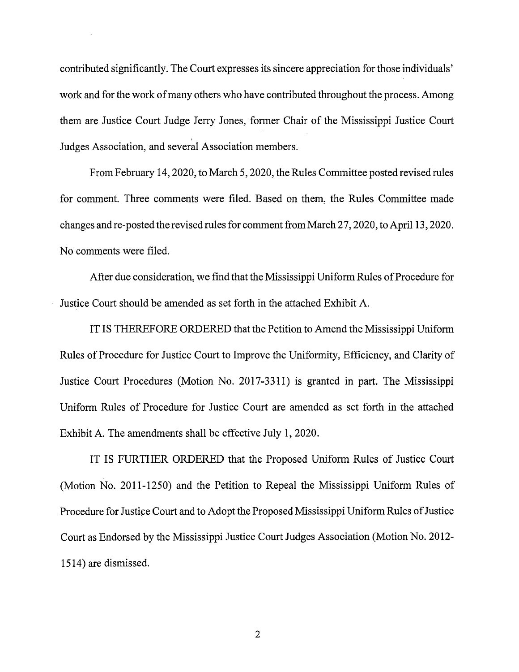contributed significantly. The Court expresses its sincere appreciation for those individuals' work and for the work of many others who have contributed throughout the process. Among them are Justice Court Judge Jerry Jones, former Chair of the Mississippi Justice Court ' Judges Association, and several Association members.

From February 14, 2020, to March 5, 2020, the Rules Committee posted revised rules for comment. Three comments were filed. Based on them, the Rules Committee made changes and re-posted the revised rules for comment from March 2 7, 2020, to April 13, 2020. No comments were filed.

After due consideration, we find that the Mississippi Uniform Rules of Procedure for Justice Court should be amended as set forth in the attached Exhibit A.

IT IS THEREFORE ORDERED that the Petition to Amend the Mississippi Uniform Rules of Procedure for Justice Court to Improve the Uniformity, Efficiency, and Clarity of Justice Court Procedures (Motion No. 2017-3311) is granted in part. The Mississippi Uniform Rules of Procedure for Justice Court are amended as set forth in the attached Exhibit A. The amendments shall be effective July 1, 2020.

IT IS FURTHER ORDERED that the Proposed Uniform Rules of Justice Court (Motion No. 2011-1250) and the Petition to Repeal the Mississippi Uniform Rules of Procedure for Justice Court and to Adopt the Proposed Mississippi Uniform Rules of Justice Court as Endorsed by the Mississippi Justice Court Judges Association (Motion No. 2012- 1514) are dismissed.

2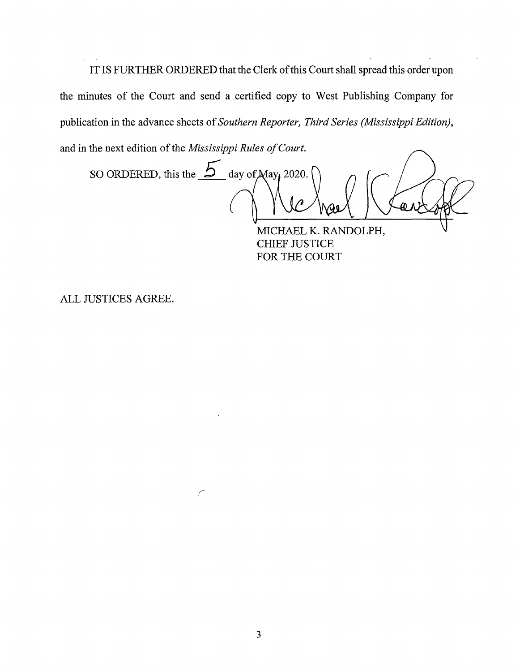IT IS FURTHER ORDERED that the Clerk of this Court shall spread this order upon the minutes of the Court and send a certified copy to West Publishing Company for publication in the advance sheets of *Southern Reporter, Third Series (Mississippi Edition),*  and in the next edition of the *Mississippi Rules of Court.* 

SO ORDERED, this the  $\overline{\mathcal{L}}$  day of  $\overline{\mathcal{M}}$  ay 2020. m n

MICHAEL K. RANDOLPH, CHIEF JUSTICE FOR THE COURT

ALL JUSTICES AGREE.

*(*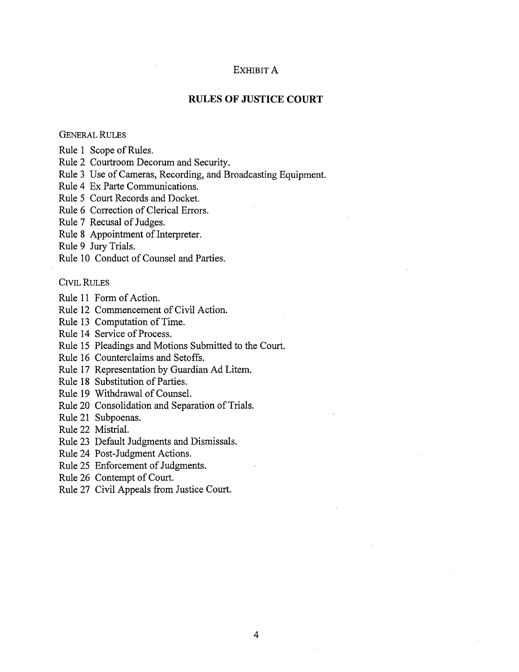#### EXHIBIT A

### **RULES OF JUSTICE COURT**

### GENERAL RULES

Rule 1 Scope of Rules.

Rule 2 Courtroom Decorum and Security.

Rule 3 Use of Cameras, Recording, and Broadcasting Equipment.

Rule 4 Ex Parte Communications.

Rule 5 Court Records and Docket.

Rule 6 Correction of Clerical Errors.

Rule 7 Recusal of Judges.

Rule 8 Appointment of Interpreter.

Rule 9 Jury Trials.

Rule 10 Conduct of Counsel and Parties.

#### CIVIL RULES

Rule 11 Form of Action.

Rule 12 Commencement of Civil Action.

Rule 13 Computation of Time.

Rule 14 Service of Process.

Rule 15 Pleadings and Motions Submitted to the Court.

Rule 16 Counterclaims and Setoffs.

Rule 17 Representation by Guardian Ad Litem.

Rule 18 Substitution of Parties.

Rule 19 Withdrawal of Counsel.

Rule 20 Consolidation and Separation of Trials.

Rule 21 Subpoenas.

Rule 22 Mistrial.

Rule 23 Default Judgments and Dismissals.

Rule 24 Post-Judgment Actions.

Rule 25 Enforcement of Judgments.

Rule 26 Contempt of Court.

Rule 27 Civil Appeals from Justice Court.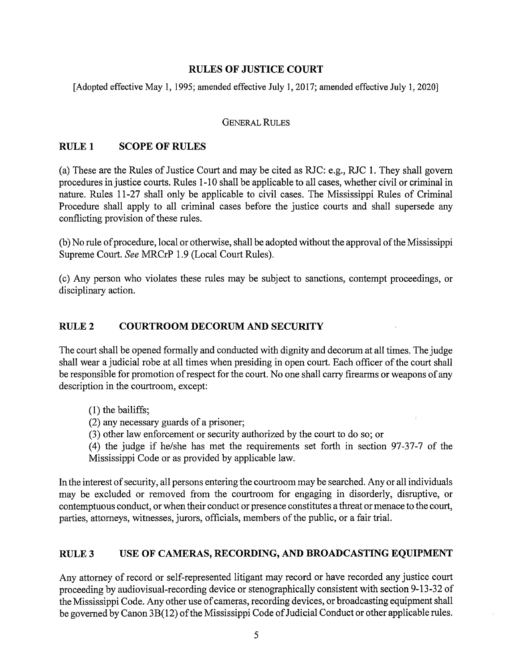## **RULES OF JUSTICE COURT**

[Adopted effective May 1, 1995; amended effective July 1, 2017; amended effective July 1, 2020]

#### GENERAL RULES

### **RULEl SCOPE OF RULES**

(a) These are the Rules of Justice Court and may be cited as RJC: e.g., RJC 1. They shall govern procedures in justice courts. Rules 1-10 shall be applicable to all cases, whether civil or criminal in nature. Rules 11-27 shall only be applicable to civil cases. The Mississippi Rules of Criminal Procedure shall apply to all criminal cases before the justice courts and shall supersede any conflicting provision of these rules.

(b) No rule of procedure, local or otherwise, shall be adopted without the approval of the Mississippi Supreme Court. *See* MRCrP 1.9 (Local Court Rules).

(c) Any person who violates these rules may be subject to sanctions, contempt proceedings, or disciplinary action.

## **RULE2 COURTROOM DECORUM AND SECURITY**

The court shall be opened formally and conducted with dignity and decorum at all times. The judge shall wear a judicial robe at all times when presiding in open court. Each officer of the court shall be responsible for promotion of respect for the court. No one shall carry firearms or weapons of any description in the courtroom, except:

- (1) the bailiffs;
- (2) any necessary guards of a prisoner;
- (3) other law enforcement or security authorized by the court to do so; or

(4) the judge if he/she has met the requirements set forth in section 97-37-7 of the Mississippi Code or as provided by applicable law.

In the interest of security, all persons entering the courtroom may be searched. Any or all individuals may be excluded or removed from the courtroom for engaging in disorderly, disruptive, or contemptuous conduct, or when their conduct or presence constitutes a threat or menace to the court, parties, attorneys, witnesses, jurors, officials, members of the public, or a fair trial.

#### **RULE3 USE OF CAMERAS, RECORDING, AND BROADCASTING EQUIPMENT**

Any attorney of record or self-represented litigant may record or have recorded any justice court proceeding by audiovisual-recording device or stenographically consistent with section 9-13-32 of the Mississippi Code. Any other use of cameras, recording devices, or broadcasting equipment shall be governed by Canon 3B(12) of the Mississippi Code of Judicial Conduct or other applicable rules.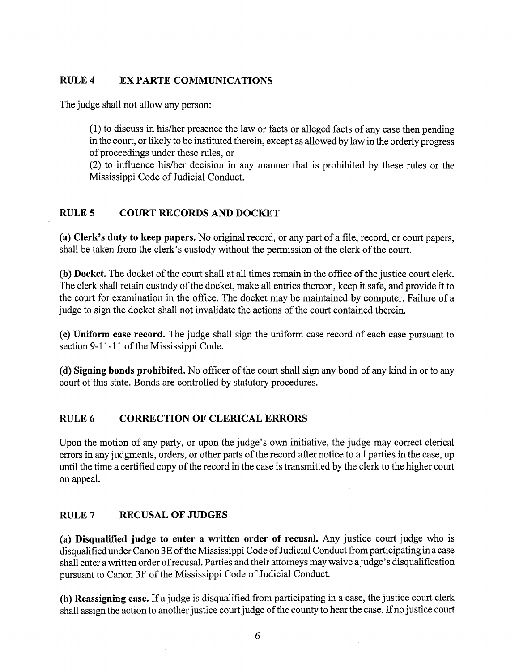## **RULE4 EX PARTE COMMUNICATIONS**

The judge shall not allow any person:

( 1) to discuss in his/her presence the law or facts or alleged facts of any case then pending in the court, or likely to be instituted therein, except as allowed by law in the orderly progress of proceedings under these rules, or

(2) to influence his/her decision in any manner that is prohibited by these rules or the Mississippi Code of Judicial Conduct.

# **RULES COURT RECORDS AND DOCKET**

**(a) Clerk's duty to keep papers.** No original record, or any part of a file, record, or court papers, shall be taken from the clerk's custody without the permission of the clerk of the court.

**(b) Docket.** The docket of the court shall at all times remain in the office of the justice court clerk. The clerk shall retain custody of the docket, make all entries thereon, keep it safe, and provide it to the court for examination in the office. The docket may be maintained by computer. Failure of a judge to sign the docket shall not invalidate the actions of the court contained therein.

**(c) Uniform case record.** The judge shall sign the uniform case record of each case pursuant to section 9-11-11 of the Mississippi Code.

**(d) Signing bonds prohibited.** No officer of the court shall sign any bond of any kind in or to any court of this state. Bonds are controlled by statutory procedures.

# **RULE6 CORRECTION OF CLERICAL ERRORS**

Upon the motion of any party, or upon the judge's own initiative, the judge may correct clerical errors in any judgments, orders, or other parts of the record after notice to all parties in the case, up until the time a certified copy of the record in the case is transmitted by the clerk to the higher court on appeal.

## **RULE7 RECUSAL OF JUDGES**

**(a) Disqualified judge to enter a written order of recusal.** Any justice court judge who is disqualified under Canon 3E of the Mississippi Code of Judicial Conduct from participating in a case shall enter a written order of recusal. Parties and their attorneys may waive a judge's disqualification pursuant to Canon 3F of the Mississippi Code of Judicial Conduct.

**(b) Reassigning case.** If a judge is disqualified from participating in a case, the justice court clerk shall assign the action to another justice court judge of the county to hear the case. If no justice court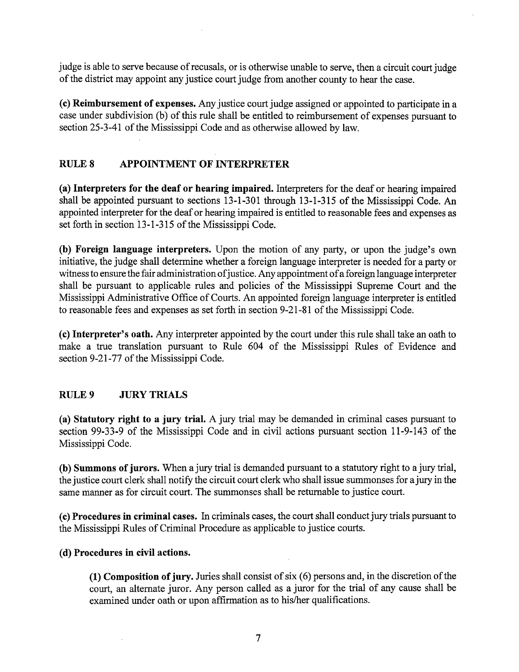judge is able to serve because of recusals, or is otherwise unable to serve, then a circuit court judge of the district may appoint any justice court judge from another county to hear the case.

**(c) Reimbursement of expenses.** Any justice court judge assigned or appointed to participate in a case under subdivision (b) of this rule shall be entitled to reimbursement of expenses pursuant to section 25-3-41 of the Mississippi Code and as otherwise allowed by law.

# **RULES APPOINTMENT OF INTERPRETER**

**(a) Interpreters for the deaf or hearing impaired.** Interpreters for the deaf or hearing impaired shall be appointed pursuant to sections 13-1-301 through 13-1-315 of the Mississippi Code. An appointed interpreter for the deaf or hearing impaired is entitled to reasonable fees and expenses as set forth in section 13-1-315 of the Mississippi Code.

**(b) Foreign language interpreters.** Upon the motion of any party, or upon the judge's own initiative, the judge shall determine whether a foreign language interpreter is needed for a party or witness to ensure the fair administration of justice. Any appointment of a foreign language interpreter shall be pursuant to applicable rules and policies of the Mississippi Supreme Court and the Mississippi Administrative Office of Courts. An appointed foreign language interpreter is entitled to reasonable fees and expenses as set forth in section 9-21-81 of the Mississippi Code.

**(c) Interpreter's oath.** Any interpreter appointed by the court under this rule shall take an oath to make a true translation pursuant to Rule 604 of the Mississippi Rules of Evidence and section 9-21-77 of the Mississippi Code.

# **RULE9 JURY TRIALS**

**(a) Statutory right to a jury trial.** A jury trial may be demanded in criminal cases pursuant to section 99-33-9 of the Mississippi Code and in civil actions pursuant section 11-9-143 of the Mississippi Code.

**(b) Summons of jurors.** When a jury trial is demanded pursuant to a statutory right to a jury trial, the justice court clerk shall notify the circuit court clerk who shall issue summonses for a jury in the same manner as for circuit court. The summonses shall be returnable to justice court.

( **c) Procedures in criminal cases.** In criminals cases, the court shall conduct jury trials pursuant to the Mississippi Rules of Criminal Procedure as applicable to justice courts.

## ( **d) Procedures in civil actions.**

**(1) Composition of jury.** Juries shall consist of six (6) persons and, in the discretion of the court, an alternate juror. Any person called as a juror for the trial of any cause shall be examined under oath or upon affirmation as to his/her qualifications.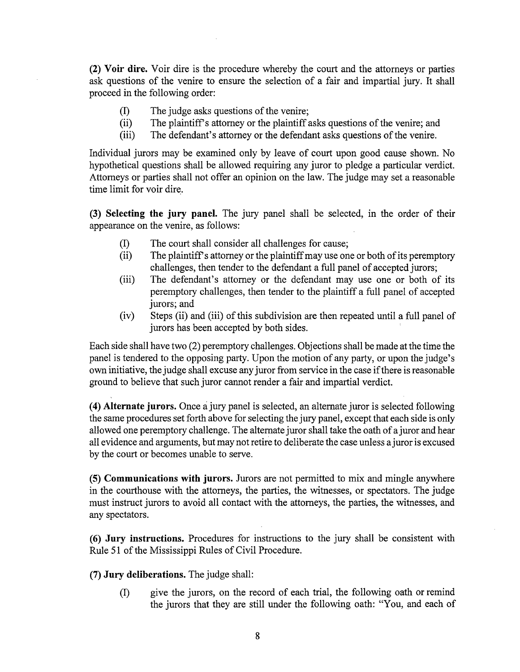**(2) Voir dire.** Voir dire is the procedure whereby the court and the attorneys or parties ask questions of the venire to ensure the selection of a fair and impartial jury. It shall proceed in the following order:

- (I) The judge asks questions of the venire;
- (ii) The plaintiffs attorney or the plaintiff asks questions of the venire; and
- (iii) The defendant's attorney or the defendant asks questions of the venire.

Individual jurors may be examined only by leave of court upon good cause shown. No hypothetical questions shall be allowed requiring any juror to pledge a particular verdict. Attorneys or parties shall not offer an opinion on the law. The judge may set a reasonable time limit for voir dire.

**(3) Selecting the jury panel.** The jury panel shall be selected, in the order of their appearance on the venire, as follows:

- (I) The court shall consider all challenges for cause;
- (ii) The plaintiffs attorney or the plaintiff may use one or both of its peremptory challenges, then tender to the defendant a full panel of accepted jurors;
- (iii) The defendant's attorney or the defendant may use one or both of its peremptory challenges, then tender to the plaintiff a full panel of accepted jurors; and
- (iv) Steps (ii) and (iii) of this subdivision are then repeated until a full panel of jurors has been accepted by both sides. '

Each side shall have two (2) peremptory challenges. Objections shall be made at the time the panel is tendered to the opposing party. Upon the motion of any party, or upon the judge's own initiative, the judge shall excuse any juror from service in the case if there is reasonable ground to believe that such juror cannot render a fair and impartial verdict.

( **4) Alternate jurors.** Once a jury panel is selected, an alternate juror is selected following the same procedures set forth above for selecting the jury panel, except that each side is only allowed one peremptory challenge. The alternate juror shall take the oath of a juror and hear all evidence and arguments, but may not retire to deliberate the case unless a juror is excused by the court or becomes unable to serve.

**(5) Communications with jurors.** Jurors are not permitted to mix and mingle anywhere in the courthouse with the attorneys, the parties, the witnesses, or spectators. The judge must instruct jurors to avoid all contact with the attorneys, the parties, the witnesses, and any spectators.

**(6) Jury instructions.** Procedures for instructions to the jury shall be consistent with Rule 51 of the Mississippi Rules of Civil Procedure.

**(7) Jury deliberations.** The judge shall:

(I) give the jurors, on the record of each trial, the following oath or remind the jurors that they are still under the following oath: "You, and each of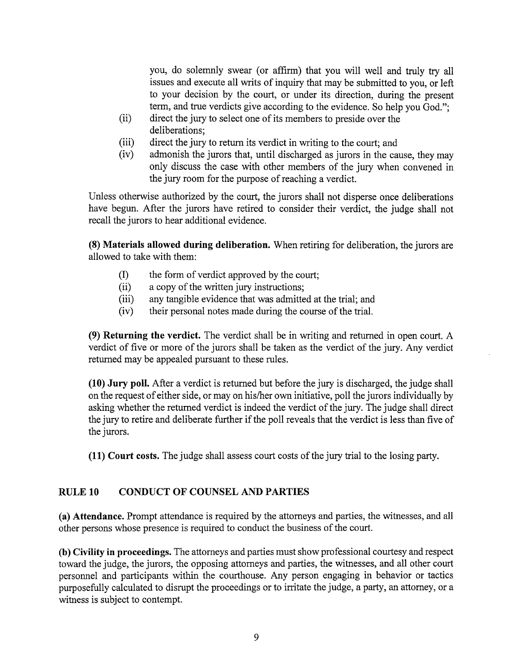you, do solemnly swear (or affirm) that you will well and truly try all issues and execute all writs of inquiry that may be submitted to you, or left to your decision by the court, or under its direction, during the present term, and true verdicts give according to the evidence. So help you God.";

- (ii) direct the jury to select one of its members to preside over the deliberations;
- (iii) direct the jury to return its verdict in writing to the court; and
- (iv) admonish the jurors that, until discharged as jurors in the cause, they may only discuss the case with other members of the jury when convened in the jury room for the purpose of reaching a verdict.

Unless otherwise authorized by the court, the jurors shall not disperse once deliberations have begun. After the jurors have retired to consider their verdict, the judge shall not recall the jurors to hear additional evidence.

**(8) Materials allowed during deliberation.** When retiring for deliberation, the jurors are allowed to take with them:

- (I) the form of verdict approved by the court;
- (ii) a copy of the written jury instructions;
- (iii) any tangible evidence that was admitted at the trial; and
- (iv) their personal notes made during the course of the trial.

**(9) Returning the verdict.** The verdict shall be in writing and returned in open court. A verdict of five or more of the jurors shall be taken as the verdict of the jury. Any verdict returned may be appealed pursuant to these rules.

**(10) Jury poll.** After a verdict is returned but before the jury is discharged, the judge shall on the request of either side, or may on his/her own initiative, poll the jurors individually by asking whether the returned verdict is indeed the verdict of the jury. The judge shall direct the jury to retire and deliberate further if the poll reveals that the verdict is less than five of the jurors.

**(11) Court costs.** The judge shall assess court costs of the jury trial to the losing party.

## **RULE 10 CONDUCT OF COUNSEL AND PARTIES**

**(a) Attendance.** Prompt attendance is required by the attorneys and parties, the witnesses, and all other persons whose presence is required to conduct the business of the court.

**(b) Civility in proceedings.** The attorneys and parties must show professional courtesy and respect toward the judge, the jurors, the opposing attorneys and parties, the witnesses, and all other court personnel and participants within the courthouse. Any person engaging in behavior or tactics purposefully calculated to disrupt the proceedings or to irritate the judge, a party, an attorney, or a witness is subject to contempt.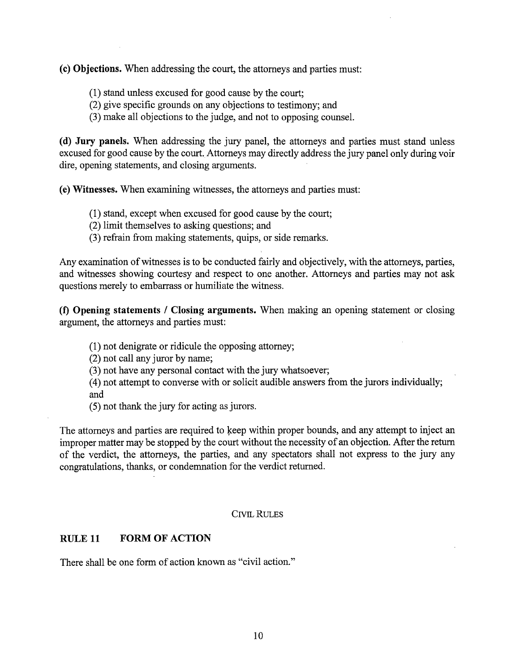**(c) Objections.** When addressing the court, the attorneys and parties must:

- (1) stand unless excused for good cause by the court;
- (2) give specific grounds on any objections to testimony; and
- (3) make all objections to the judge, and not to opposing counsel.

( **d) Jury panels.** When addressing the jury panel, the attorneys and parties must stand unless excused for good cause by the court. Attorneys may directly address the jury panel only during voir dire, opening statements, and closing arguments.

**(e) Witnesses.** When examining witnesses, the attorneys and parties must:

- (1) stand, except when excused for good cause by the court;
- (2) limit themselves to asking questions; and
- (3) refrain from making statements, quips, or side remarks.

Any examination of witnesses is to be conducted fairly and objectively, with the attorneys, parties, and witnesses showing courtesy and respect to one another. Attorneys and parties may not ask questions merely to embarrass or humiliate the witness.

**(f) Opening statements / Closing arguments.** When making an opening statement or closing argument, the attorneys and parties must:

(1) not denigrate or ridicule the opposing attorney;

(2) not call any juror by name;

(3) not have any personal contact with the jury whatsoever;

(4) not attempt to converse with or solicit audible answers from the jurors individually; and

(5) not thank the jury for acting as jurors.

The attorneys and parties are required to keep within proper bounds, and any attempt to inject an improper matter may be stopped by the court without the necessity of an objection. After the return of the verdict, the attorneys, the parties, and any spectators shall not express to the jury any congratulations, thanks, or condemnation for the verdict returned.

#### CIVIL RULES

#### **RULE 11 FORM OF ACTION**

There shall be one form of action known as "civil action."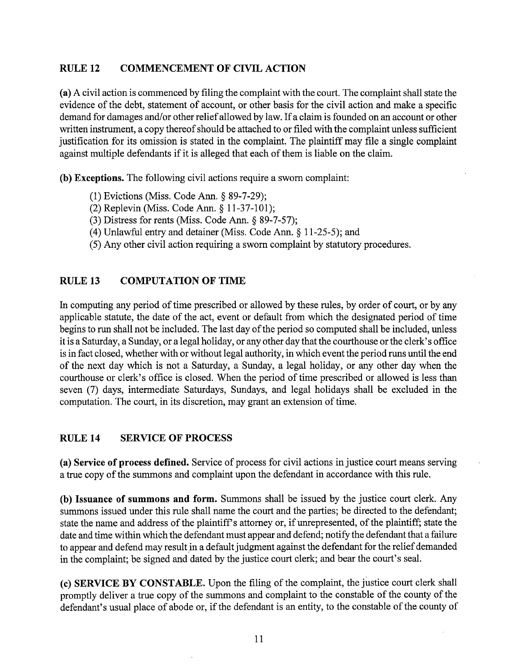# **RULE 12 COMMENCEMENT OF CIVIL ACTION**

**(a)** A civil action is commenced by filing the complaint with the court. The complaint shall state the evidence of the debt, statement of account, or other basis for the civil action and make a specific demand for damages and/or other relief allowed by law. If a claim is founded on an account or other written instrument, a copy thereof should be attached to or filed with the complaint unless sufficient justification for its omission is stated in the complaint. The plaintiff may file a single complaint against multiple defendants if it is alleged that each of them is liable on the claim.

**(b) Exceptions.** The following civil actions require a sworn complaint:

- (1) Evictions (Miss. Code Ann.§ 89-7-29);
- (2) Replevin (Miss. Code Ann. § 11-37-101);
- (3) Distress for rents (Miss. Code Ann. § 89-7-57);
- (4) Unlawful entry and detainer (Miss. Code Ann.§ 11-25-5); and
- (5) Any other civil action requiring a sworn complaint by statutory procedures.

# **RULE 13 COMPUTATION OF TIME**

In computing any period of time prescribed or allowed by these rules, by order of court, or by any applicable statute, the date of the act, event or default from which the designated period of time begins to run shall not be included. The last day of the period so computed shall be included, unless it is a Saturday, a Sunday, or a legal holiday, or any other day that the courthouse or the clerk's office is in fact closed, whether with or without legal authority, in which event the period runs until the end of the next day which is not a Saturday, a Sunday, a legal holiday, or any other day when the courthouse or clerk's office is closed. When the period of time prescribed or allowed is less than seven (7) days, intermediate Saturdays, Sundays, and legal holidays shall be excluded in the computation. The court, in its discretion, may grant an extension of time.

## **RULE14 SERVICE OF PROCESS**

**(a) Service of process defined.** Service of process for civil actions in justice court means serving a true copy of the summons and complaint upon the defendant in accordance with this rule.

**(b) Issuance of summons and form.** Summons shall be issued by the justice court clerk. Any summons issued under this rule shall name the court and the parties; be directed to the defendant; state the name and address of the plaintiff's attorney or, if unrepresented, of the plaintiff; state the date and time within which the defendant must appear and defend; notify the defendant that a failure to appear and defend may result *in* a default judgment against the defendant for the relief demanded in the complaint; be signed and dated by the justice court clerk; and bear the court's seal.

**(c) SERVICE BY CONSTABLE.** Upon the filing of the complaint, the justice court clerk shall promptly deliver a true copy of the summons and complaint to the constable of the county of the defendant's usual place of abode or, if the defendant is an entity, to the constable of the county of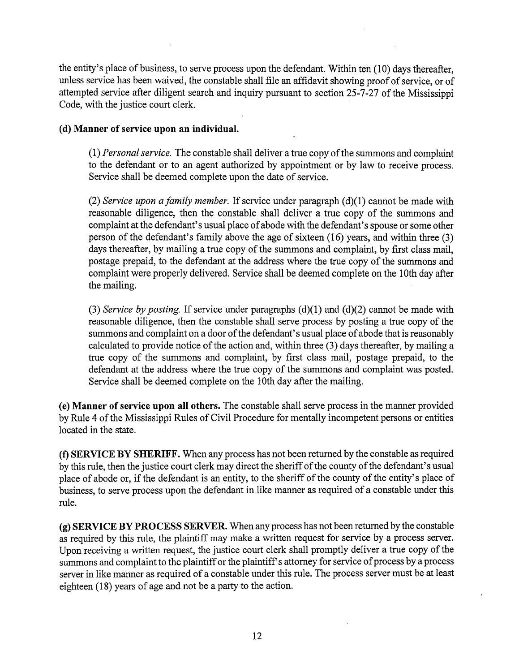the entity's place of business, to serve process upon the defendant. Within ten (10) days thereafter, unless service has been waived, the constable shall file an affidavit showing proof of service, or of attempted service after diligent search and inquiry pursuant to section 25-7-27 of the Mississippi Code, with the justice court clerk.

## ( **d) Manner of service upon an individual.**

(1) *Personal service.* The constable shall deliver a true copy of the summons and complaint to the defendant or to an agent authorized by appointment or by law to receive process. Service shall be deemed complete upon the date of service.

(2) *Service upon a family member*. If service under paragraph (d)(1) cannot be made with reasonable diligence, then the constable shall deliver a true copy of the summons and complaint at the defendant's usual place of abode with the defendant's spouse or some other person of the defendant's family above the age of sixteen (16) years, and within three (3) days thereafter, by mailing a true copy of the summons and complaint, by first class mail, postage prepaid, to the defendant at the address where the true copy of the summons and complaint were properly delivered. Service shall be deemed complete on the 10th day after the mailing.

(3) *Service by posting.* If service under paragraphs **(d)(l)** and (d)(2) cannot be made with reasonable diligence, then the constable shall serve process by posting a true copy of the summons and complaint on a door of the defendant's usual place of abode that is reasonably calculated to provide notice of the action and, within three  $(3)$  days thereafter, by mailing a true copy of the summons and complaint, by first class mail, postage prepaid, to the defendant at the address where the true copy of the summons and complaint was posted. Service shall be deemed complete on the 10th day after the mailing.

**(e) Manner of service upon all others.** The constable shall serve process in the manner provided by Rule 4 of the Mississippi Rules of Civil Procedure for mentally incompetent persons or entities located in the state.

**(f) SERVICE BY SHERIFF.** When any process has not been returned by the constable as required by this rule, then the justice court clerk may direct the sheriff of the county of the defendant's usual place of abode or, if the defendant is an entity, to the sheriff of the county of the entity's place of business, to serve process upon the defendant in like manner as required of a constable under this rule.

**(g) SERVICE BY PROCESS SERVER.** When any process has not been returned by the constable as required by this rule, the plaintiff may make a written request for service by a process server. Upon receiving a written request, the justice court clerk shall promptly deliver a true copy of the summons and complaint to the plaintiff or the plaintiff's attorney for service of process by a process server in like manner as required of a constable under this rule. The process server must be at least eighteen (18) years of age and not be a party to the action.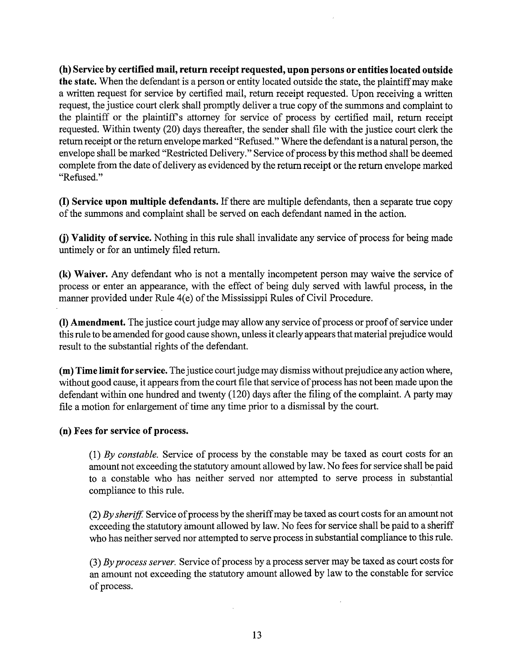**(h) Service by certified mail, return receipt requested, upon persons or entities located outside the state.** When the defendant is a person or entity located outside the state, the plaintiff may make a written request for service by certified mail, return receipt requested. Upon receiving a written request, the justice court clerk shall promptly deliver a true copy of the summons and complaint to the plaintiff or the plaintiff's attorney for service of process by certified mail, return receipt requested. Within twenty (20) days thereafter, the sender shall file with the justice court clerk the return receipt or the return envelope marked "Refused." Where the defendant is a natural person, the envelope shall be marked "Restricted Delivery." Service of process by this method shall be deemed complete from the date of delivery as evidenced by the return receipt or the return envelope marked "Refused."

(I) **Service upon multiple defendants.** If there are multiple defendants, then a separate true copy of the summons and complaint shall be served on each defendant named in the action.

**(j) Validity of service.** Nothing in this rule shall invalidate any service of process for being made untimely or for an untimely filed return.

**(k) Waiver.** Any defendant who is not a mentally incompetent person may waive the service of process or enter an appearance, with the effect of being duly served with lawful process, in the manner provided under Rule 4(e) of the Mississippi Rules of Civil Procedure.

**(1) Amendment.** The justice court judge may allow any service of process or proof of service under this rule to be amended for good cause shown, unless it clearly appears that material prejudice would result to the substantial rights of the defendant.

**(m) Time limit for service.** The justice court judge may dismiss without prejudice any action where, without good cause, it appears from the court file that service of process has not been made upon the defendant within one hundred and twenty (120) days after the filing of the complaint. A party may file a motion for enlargement of time any time prior to a dismissal by the court.

## **(n) Fees for service of process.**

(1) *By constable.* Service of process by the constable may be taxed as court costs for an amount not exceeding the statutory amount allowed by law. No fees for service shall be paid to a constable who has neither served nor attempted to serve process in substantial compliance to this rule.

(2) *By sheriff* Service of process by the sheriff may be taxed as court costs for an amount not exceeding the statutory amount allowed by law. No fees for service shall be paid to a sheriff who has neither served nor attempted to serve process in substantial compliance to this rule.

(3) *By process server.* Service of process by a process server may be taxed as court costs for an amount not exceeding the statutory amount allowed by law to the constable for service of process.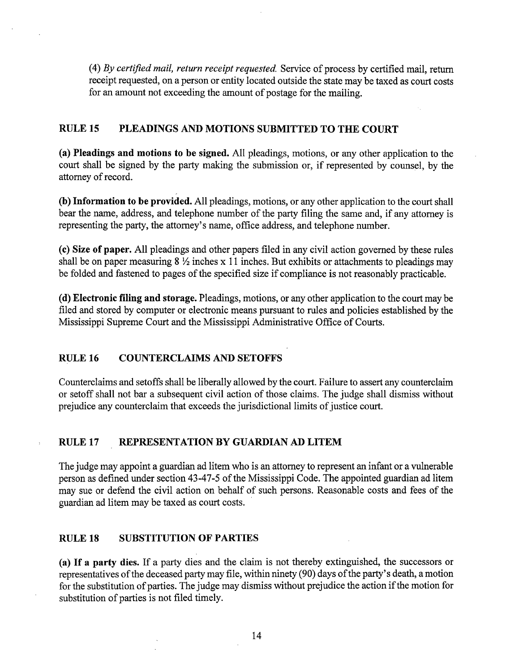(4) *By certified mail, return receipt requested.* Service of process by certified mail, return receipt requested, on a person or entity located outside the state may be taxed as court costs for an amount not exceeding the amount of postage for the mailing.

## **RULE 15 PLEADINGS AND MOTIONS SUBMITTED TO THE COURT**

**(a) Pleadings and motions to be signed.** All pleadings, motions, or any other application to the court shall be signed by the party making the submission or, if represented by counsel, by the attorney of record.

**(b) Information to be provided.** All pleadings, motions, or any other application to the court shall bear the name, address, and telephone number of the party filing the same and, if any attorney is representing the party, the attorney's name, office address, and telephone number.

**(c) Size of paper.** All pleadings and other papers filed in any civil action governed by these rules shall be on paper measuring  $8\frac{1}{2}$  inches x 11 inches. But exhibits or attachments to pleadings may be folded and fastened to pages of the specified size if compliance is not reasonably practicable.

( **d) Electronic filing and storage.** Pleadings, motions, or any other application to the court may be filed and stored by computer or electronic means pursuant to rules and policies established by the Mississippi Supreme Court and the Mississippi Administrative Office of Courts.

## **RULE16 COUNTERCLAIMS AND SETOFFS**

Counterclaims and setoffs shall be liberally allowed by the court. Failure to assert any counterclaim or setoff shall not bar a subsequent civil action of those claims. The judge shall dismiss without prejudice any counterclaim that exceeds the jurisdictional limits of justice court.

#### **RULE 17 REPRESENTATION BY GUARDIAN AD LITEM**

The judge may appoint a guardian ad litem who is an attorney to represent an infant or a vulnerable person as defined under section 43-47-5 of the Mississippi Code. The appointed guardian ad litem may sue or defend the civil action on behalf of such persons. Reasonable costs and fees of the guardian ad litem may be taxed as court costs.

#### **RULE 18 SUBSTITUTION OF PARTIES**

**(a) If a party dies.** If a party dies and the claim is not thereby extinguished, the successors or representatives of the deceased party may file, within ninety (90) days of the party's death, a motion for the substitution of parties. The judge may dismiss without prejudice the action if the motion for substitution of parties is not filed timely.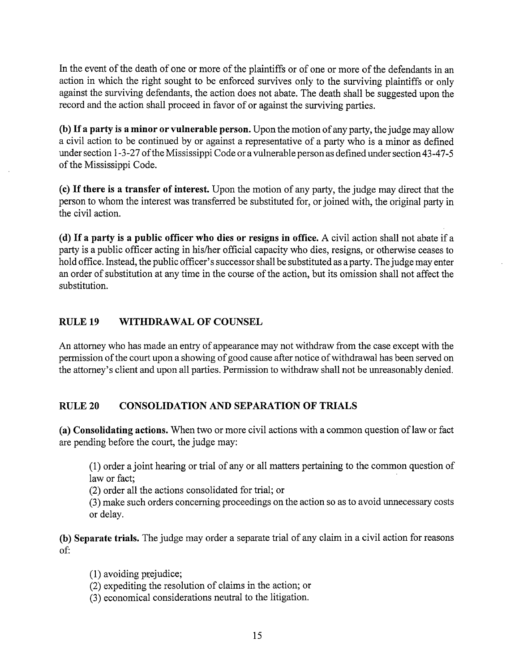In the event of the death of one or more of the plaintiffs or of one or more of the defendants in an action in which the right sought to be enforced survives only to the surviving plaintiffs or only against the surviving defendants, the action does not abate. The death shall be suggested upon the record and the action shall proceed in favor of or against the surviving parties.

**(b) If a party is a minor or vulnerable person.** Upon the motion of any party, the judge may allow a civil action to be continued by or against a representative of a party who is a minor as defined under section 1-3-27 of the Mississippi Code or a vulnerable person as defined under section 43-47-5 of the Mississippi Code.

**(c) If there is a transfer of interest.** Upon the motion of any party, the judge may direct that the person to whom the interest was transferred be substituted for, or joined with, the original party in the civil action.

( **d) If a party is a public officer who dies or resigns in office.** A civil action shall not abate if a party is a public officer acting in his/her official capacity who dies, resigns, or otherwise ceases to hold office. Instead, the public officer's successor shall be substituted as a party. The judge may enter an order of substitution at any time in the course of the action, but its omission shall not affect the substitution.

## **RULE 19 WITHDRAWAL OF COUNSEL**

An attorney who has made an entry of appearance may not withdraw from the case except with the permission of the court upon a showing of good cause after notice of withdrawal has been served on the attorney's client and upon all parties. Permission to withdraw shall not be unreasonably denied.

## **RULE20 CONSOLIDATION AND SEPARATION OF TRIALS**

(a) Consolidating actions. When two or more civil actions with a common question of law or fact are pending before the court, the judge may:

(1) order a joint hearing or trial of any or all matters pertaining to the common question of law or fact;

(2) order all the actions consolidated for trial; or

(3) make such orders concerning proceedings on the action so as to avoid unnecessary costs or delay.

**(b) Separate trials.** The judge may order a separate trial of any claim in a civil action for reasons of:

 $(1)$  avoiding prejudice;

(2) expediting the resolution of claims in the action; or

(3) economical considerations neutral to the litigation.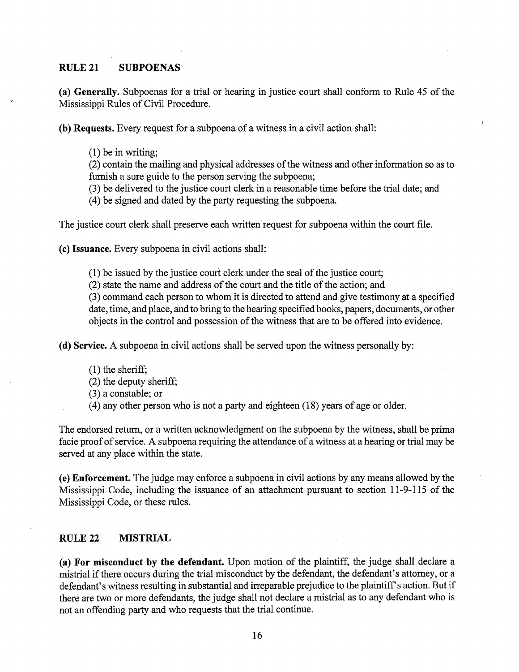#### **RULE21 SUBPOENAS**

**(a) Generally.** Subpoenas for a trial or hearing in justice court shall conform to Rule 45 of the Mississippi Rules of Civil Procedure.

**(b) Requests.** Every request for a subpoena of a witness in a civil action shall:

(1) be in writing;

(2) contain the mailing and physical addresses of the witness and other information so as to furnish a sure guide to the person serving the subpoena;

(3) be delivered to the justice court clerk in a reasonable time before the trial date; and

( 4) be signed and dated by the party requesting the subpoena.

The justice court clerk shall preserve each written request for subpoena within the court file.

**(c) Issuance.** Every subpoena in civil actions shall:

(1) be issued by the justice court clerk under the seal of the justice court;

(2) state the name and address of the court and the title of the action; and

(3) command each person to whom it is directed to attend and give testimony at a specified date, time, and place, and to bring to the hearing specified books, papers, documents, or other objects in the control and possession of the witness that are to be offered into evidence.

( **d) Service.** A subpoena in civil actions shall be served upon the witness personally by:

 $(1)$  the sheriff;

(2) the deputy sheriff;

- (3) a constable; or
- ( 4) any other person who is not a party and eighteen (18) years of age or older.

The endorsed return, or a written acknowledgment on the subpoena by the witness, shall be prima facie proof of service. A subpoena requiring the attendance of a witness at a hearing or trial may be served at any place within the state.

**(e) Enforcement.** The judge may enforce a subpoena in civil actions by any means allowed by the Mississippi Code, including the issuance of an attachment pursuant to section 11-9-115 of the Mississippi Code, or these rules.

## **RULE22 MISTRIAL**

**(a) For misconduct by the defendant.** Upon motion of the plaintiff, the judge shall declare a mistrial if there occurs during the trial misconduct by the defendant, the defendant's attorney, or a defendant's witness resulting in substantial and irreparable prejudice to the plaintiff's action. But if there are two or more defendants, the judge shall not declare a mistrial as to any defendant who is not an offending party and who requests that the trial continue.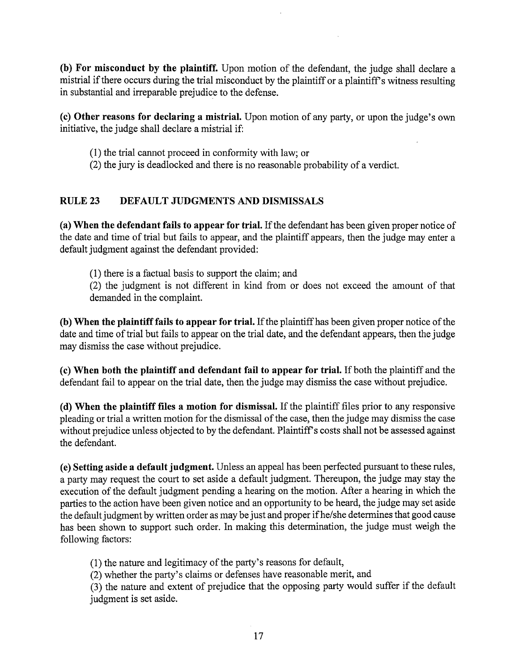**(b) For misconduct by the plaintiff.** Upon motion of the defendant, the judge shall declare a mistrial if there occurs during the trial misconduct by the plaintiff or a plaintiff's witness resulting in substantial and irreparable prejudice to the defense.

**(c) Other reasons for declaring a mistrial.** Upon motion of any party, or upon the judge's own initiative, the judge shall declare a mistrial if:

- (1) the trial cannot proceed in conformity with law; or
- (2) the jury is deadlocked and there is no reasonable probability of a verdict.

# **RULE23 DEFAULT JUDGMENTS AND DISMISSALS**

**(a) When the defendant fails to appear for trial.** If the defendant has been given proper notice of the date and time of trial but fails to appear, and the plaintiff appears, then the judge may enter a default judgment against the defendant provided:

(1) there is a factual basis to support the claim; and

(2) the judgment is not different in kind from or does not exceed the amount of that demanded in the complaint.

**(b) When the plaintiff fails to appear for trial.** If the plaintiff has been given proper notice of the date and time of trial but fails to appear on the trial date, and the defendant appears, then the judge may dismiss the case without prejudice.

( **c) When both the plaintiff and defendant fail to appear for trial.** If both the plaintiff and the defendant fail to appear on the trial date, then the judge may dismiss the case without prejudice.

( **d) When the plaintiff files a motion for dismissal.** If the plaintiff files prior to any responsive pleading or trial a written motion for the dismissal of the case, then the judge may dismiss the case without prejudice unless objected to by the defendant. Plaintiff's costs shall not be assessed against the defendant.

( **e) Setting aside a default judgment.** Unless an appeal has been perfected pursuant to these rules, a party may request the court to set aside a default judgment. Thereupon, the judge may stay the execution of the default judgment pending a hearing on the motion. After a hearing in which the parties to the action have been given notice and an opportunity to be heard, the judge may set aside the default judgment by written order as may be just and proper if he/she determines that good cause has been shown to support such order. In making this determination, the judge must weigh the following factors:

(1) the nature and legitimacy of the party's reasons for default,

(2) whether the party's claims or defenses have reasonable merit, and

(3) the nature and extent of prejudice that the opposing party would suffer if the default judgment is set aside.